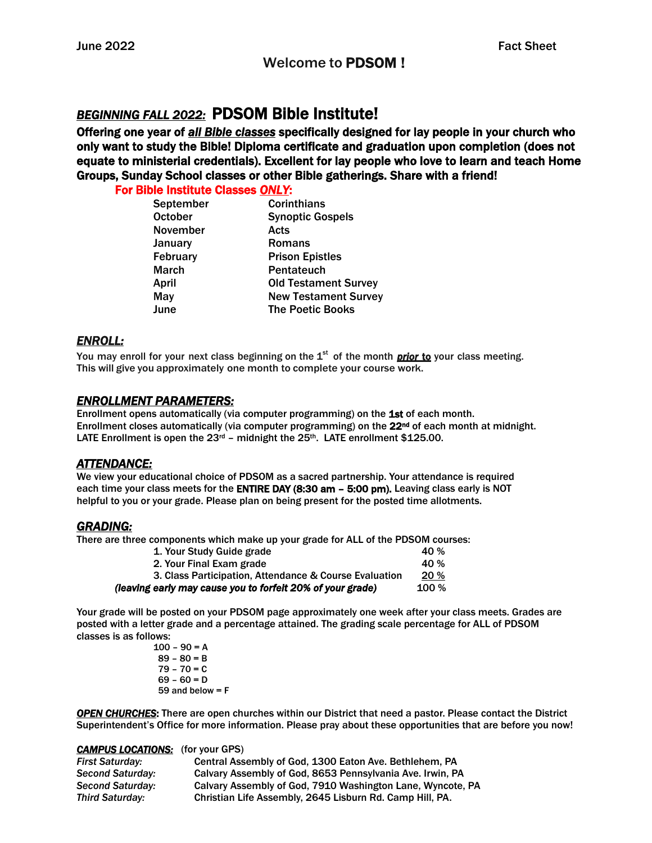# *BEGINNING FALL 2022:* PDSOM Bible Institute!

Offering one year of *all Bible classes* specifically designed for lay people in your church who only want to study the Bible! Diploma certificate and graduation upon completion (does not equate to ministerial credentials). Excellent for lay people who love to learn and teach Home Groups, Sunday School classes or other Bible gatherings. Share with a friend!

For Bible Institute Classes *ONLY*:

| September       | <b>Corinthians</b>          |
|-----------------|-----------------------------|
| <b>October</b>  | <b>Synoptic Gospels</b>     |
| November        | Acts                        |
| January         | <b>Romans</b>               |
| <b>February</b> | <b>Prison Epistles</b>      |
| <b>March</b>    | Pentateuch                  |
| April           | <b>Old Testament Survey</b> |
| May             | <b>New Testament Survey</b> |
| June            | <b>The Poetic Books</b>     |
|                 |                             |

# *ENROLL:*

You may enroll for your next class beginning on the 1<sup>st</sup> of the month *prior to* your class meeting. This will give you approximately one month to complete your course work.

# *ENROLLMENT PARAMETERS:*

Enrollment opens automatically (via computer programming) on the 1st of each month. Enrollment closes automatically (via computer programming) on the  $22<sup>nd</sup>$  of each month at midnight. LATE Enrollment is open the  $23^{rd}$  – midnight the  $25^{th}$ . LATE enrollment \$125.00.

## *ATTENDANCE:*

We view your educational choice of PDSOM as a sacred partnership. Your attendance is required each time your class meets for the **ENTIRE DAY (8:30 am - 5:00 pm).** Leaving class early is NOT helpful to you or your grade. Please plan on being present for the posted time allotments.

## *GRADING:*

There are three components which make up your grade for ALL of the PDSOM courses:

| 1. Your Study Guide grade                                  | 40 %         |
|------------------------------------------------------------|--------------|
| 2. Your Final Exam grade                                   | 40 %         |
| 3. Class Participation, Attendance & Course Evaluation     | 20%          |
| (leaving early may cause you to forfeit 20% of your grade) | <b>100 %</b> |

Your grade will be posted on your PDSOM page approximately one week after your class meets. Grades are posted with a letter grade and a percentage attained. The grading scale percentage for ALL of PDSOM classes is as follows:

 $100 - 90 = A$  $89 - 80 = B$  $79 - 70 = C$  $69 - 60 = D$ 59 and below = F

*OPEN CHURCHES*: There are open churches within our District that need a pastor. Please contact the District Superintendent's Office for more information. Please pray about these opportunities that are before you now!

#### *CAMPUS LOCATIONS:* (for your GPS)

| <b>First Saturday:</b>  | Central Assembly of God, 1300 Eaton Ave. Bethlehem, PA     |
|-------------------------|------------------------------------------------------------|
| <b>Second Saturday:</b> | Calvary Assembly of God, 8653 Pennsylvania Ave. Irwin, PA  |
| <b>Second Saturday:</b> | Calvary Assembly of God, 7910 Washington Lane, Wyncote, PA |
| Third Saturdav:         | Christian Life Assembly, 2645 Lisburn Rd. Camp Hill, PA.   |